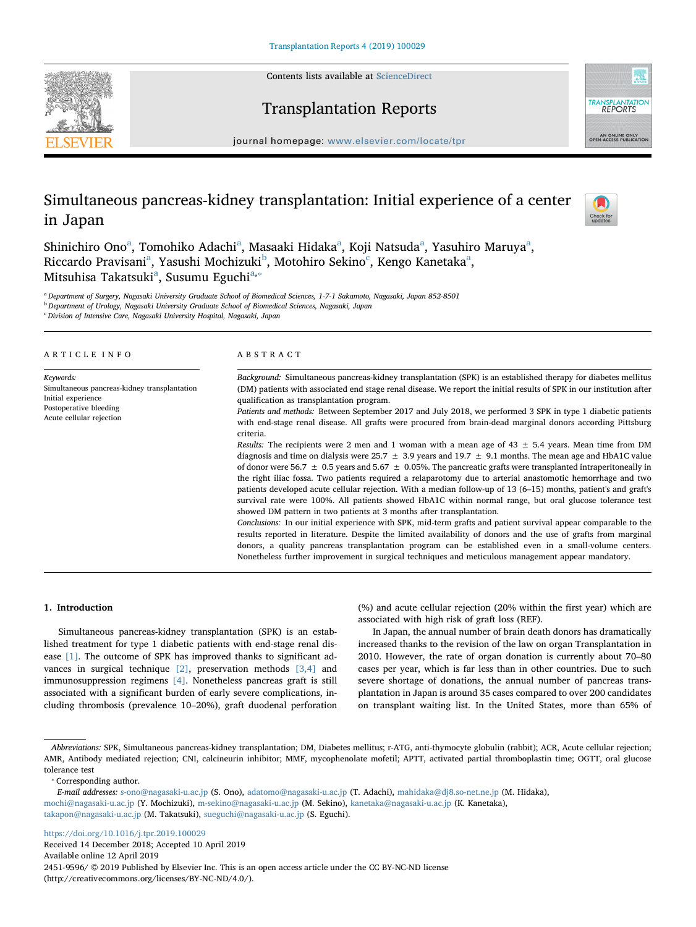Contents lists available at [ScienceDirect](http://www.sciencedirect.com/science/journal/24519596)







journal homepage: [www.elsevier.com/locate/tpr](https://www.elsevier.com/locate/tpr)

# Simultaneous pancreas-kidney transplantation: Initial experience of a center in Japan



Shinichiro Ono<sup>[a](#page-0-0)</sup>, Tomohiko Adachi<sup>a</sup>, Masaaki Hidaka<sup>a</sup>, Koji Natsuda<sup>a</sup>, Yasuhiro Maruya<sup>a</sup>, Ricc[a](#page-0-0)rdo Pravisani<sup>a</sup>, Yasushi Mochizuki<sup>[b](#page-0-1)</sup>, Motohiro Sekino<sup>[c](#page-0-2)</sup>, Kengo Kanetaka<sup>a</sup>, Mitsuhis[a](#page-0-0) Takatsuki<sup>a</sup>, Susumu Eguchi<sup>a,</sup>\*

<span id="page-0-0"></span><sup>a</sup> Department of Surgery, Nagasaki University Graduate School of Biomedical Sciences, 1-7-1 Sakamoto, Nagasaki, Japan 852-8501

<span id="page-0-1"></span><sup>b</sup> Department of Urology, Nagasaki University Graduate School of Biomedical Sciences, Nagasaki, Japan

<span id="page-0-2"></span><sup>c</sup> Division of Intensive Care, Nagasaki University Hospital, Nagasaki, Japan

| ARTICLE INFO                                                                                                                          | ABSTRACT                                                                                                                                                                                                                                                                                                                                                                                                                                                                                                                                                                                                                                                                                                                                                                                                                                                                                                                                                                                                                                                                                                                                                                                                                                                                                                                                                                                                                                                                                                                                                                                                                                                     |  |
|---------------------------------------------------------------------------------------------------------------------------------------|--------------------------------------------------------------------------------------------------------------------------------------------------------------------------------------------------------------------------------------------------------------------------------------------------------------------------------------------------------------------------------------------------------------------------------------------------------------------------------------------------------------------------------------------------------------------------------------------------------------------------------------------------------------------------------------------------------------------------------------------------------------------------------------------------------------------------------------------------------------------------------------------------------------------------------------------------------------------------------------------------------------------------------------------------------------------------------------------------------------------------------------------------------------------------------------------------------------------------------------------------------------------------------------------------------------------------------------------------------------------------------------------------------------------------------------------------------------------------------------------------------------------------------------------------------------------------------------------------------------------------------------------------------------|--|
| Keywords:<br>Simultaneous pancreas-kidney transplantation<br>Initial experience<br>Postoperative bleeding<br>Acute cellular rejection | Background: Simultaneous pancreas-kidney transplantation (SPK) is an established therapy for diabetes mellitus<br>(DM) patients with associated end stage renal disease. We report the initial results of SPK in our institution after<br>qualification as transplantation program.<br>Patients and methods: Between September 2017 and July 2018, we performed 3 SPK in type 1 diabetic patients<br>with end-stage renal disease. All grafts were procured from brain-dead marginal donors according Pittsburg<br>criteria.<br><i>Results:</i> The recipients were 2 men and 1 woman with a mean age of $43 \pm 5.4$ years. Mean time from DM<br>diagnosis and time on dialysis were 25.7 $\pm$ 3.9 years and 19.7 $\pm$ 9.1 months. The mean age and HbA1C value<br>of donor were 56.7 $\pm$ 0.5 years and 5.67 $\pm$ 0.05%. The pancreatic grafts were transplanted intraperitoneally in<br>the right iliac fossa. Two patients required a relaparotomy due to arterial anastomotic hemorrhage and two<br>patients developed acute cellular rejection. With a median follow-up of 13 (6–15) months, patient's and graft's<br>survival rate were 100%. All patients showed HbA1C within normal range, but oral glucose tolerance test<br>showed DM pattern in two patients at 3 months after transplantation.<br>Conclusions: In our initial experience with SPK, mid-term grafts and patient survival appear comparable to the<br>results reported in literature. Despite the limited availability of donors and the use of grafts from marginal<br>donors, a quality pancreas transplantation program can be established even in a small-volume centers. |  |
|                                                                                                                                       | Nonetheless further improvement in surgical techniques and meticulous management appear mandatory.                                                                                                                                                                                                                                                                                                                                                                                                                                                                                                                                                                                                                                                                                                                                                                                                                                                                                                                                                                                                                                                                                                                                                                                                                                                                                                                                                                                                                                                                                                                                                           |  |

## 1. Introduction

Simultaneous pancreas-kidney transplantation (SPK) is an established treatment for type 1 diabetic patients with end-stage renal disease [\[1\]](#page-3-0). The outcome of SPK has improved thanks to significant advances in surgical technique [\[2\],](#page-3-1) preservation methods [\[3,4\]](#page-3-2) and immunosuppression regimens [\[4\].](#page-3-3) Nonetheless pancreas graft is still associated with a significant burden of early severe complications, including thrombosis (prevalence 10–20%), graft duodenal perforation

(%) and acute cellular rejection (20% within the first year) which are associated with high risk of graft loss (REF).

In Japan, the annual number of brain death donors has dramatically increased thanks to the revision of the law on organ Transplantation in 2010. However, the rate of organ donation is currently about 70–80 cases per year, which is far less than in other countries. Due to such severe shortage of donations, the annual number of pancreas transplantation in Japan is around 35 cases compared to over 200 candidates on transplant waiting list. In the United States, more than 65% of

<https://doi.org/10.1016/j.tpr.2019.100029>

Received 14 December 2018; Accepted 10 April 2019

Available online 12 April 2019

2451-9596/ © 2019 Published by Elsevier Inc. This is an open access article under the CC BY-NC-ND license (http://creativecommons.org/licenses/BY-NC-ND/4.0/).

Abbreviations: SPK, Simultaneous pancreas-kidney transplantation; DM, Diabetes mellitus; r-ATG, anti-thymocyte globulin (rabbit); ACR, Acute cellular rejection; AMR, Antibody mediated rejection; CNI, calcineurin inhibitor; MMF, mycophenolate mofetil; APTT, activated partial thromboplastin time; OGTT, oral glucose tolerance test

<span id="page-0-3"></span><sup>⁎</sup> Corresponding author.

E-mail addresses: [s-ono@nagasaki-u.ac.jp](mailto:s-ono@nagasaki-u.ac.jp) (S. Ono), [adatomo@nagasaki-u.ac.jp](mailto:adatomo@nagasaki-u.ac.jp) (T. Adachi), [mahidaka@dj8.so-net.ne.jp](mailto:mahidaka@dj8.so-net.ne.jp) (M. Hidaka), [mochi@nagasaki-u.ac.jp](mailto:mochi@nagasaki-u.ac.jp) (Y. Mochizuki), [m-sekino@nagasaki-u.ac.jp](mailto:m-sekino@nagasaki-u.ac.jp) (M. Sekino), [kanetaka@nagasaki-u.ac.jp](mailto:kanetaka@nagasaki-u.ac.jp) (K. Kanetaka), [takapon@nagasaki-u.ac.jp](mailto:takapon@nagasaki-u.ac.jp) (M. Takatsuki), [sueguchi@nagasaki-u.ac.jp](mailto:sueguchi@nagasaki-u.ac.jp) (S. Eguchi).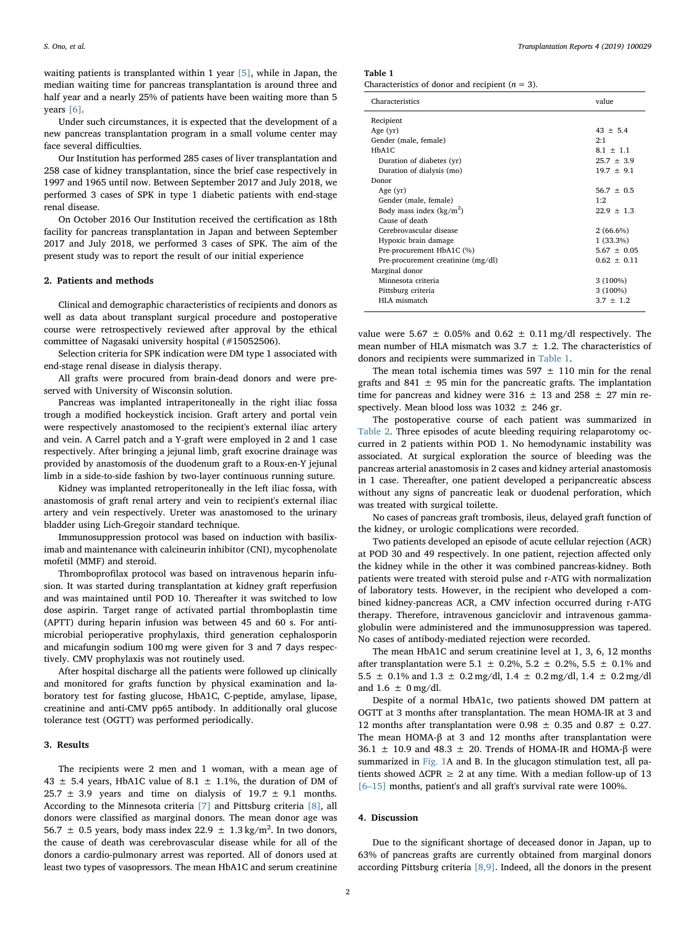waiting patients is transplanted within 1 year [\[5\],](#page-3-4) while in Japan, the median waiting time for pancreas transplantation is around three and half year and a nearly 25% of patients have been waiting more than 5 years [\[6\].](#page-3-5)

Under such circumstances, it is expected that the development of a new pancreas transplantation program in a small volume center may face several difficulties.

Our Institution has performed 285 cases of liver transplantation and 258 case of kidney transplantation, since the brief case respectively in 1997 and 1965 until now. Between September 2017 and July 2018, we performed 3 cases of SPK in type 1 diabetic patients with end-stage renal disease.

On October 2016 Our Institution received the certification as 18th facility for pancreas transplantation in Japan and between September 2017 and July 2018, we performed 3 cases of SPK. The aim of the present study was to report the result of our initial experience

### 2. Patients and methods

Clinical and demographic characteristics of recipients and donors as well as data about transplant surgical procedure and postoperative course were retrospectively reviewed after approval by the ethical committee of Nagasaki university hospital (#15052506).

Selection criteria for SPK indication were DM type 1 associated with end-stage renal disease in dialysis therapy.

All grafts were procured from brain-dead donors and were preserved with University of Wisconsin solution.

Pancreas was implanted intraperitoneally in the right iliac fossa trough a modified hockeystick incision. Graft artery and portal vein were respectively anastomosed to the recipient's external iliac artery and vein. A Carrel patch and a Y-graft were employed in 2 and 1 case respectively. After bringing a jejunal limb, graft exocrine drainage was provided by anastomosis of the duodenum graft to a Roux-en-Y jejunal limb in a side-to-side fashion by two-layer continuous running suture.

Kidney was implanted retroperitoneally in the left iliac fossa, with anastomosis of graft renal artery and vein to recipient's external iliac artery and vein respectively. Ureter was anastomosed to the urinary bladder using Lich-Gregoir standard technique.

Immunosuppression protocol was based on induction with basiliximab and maintenance with calcineurin inhibitor (CNI), mycophenolate mofetil (MMF) and steroid.

Thromboprofilax protocol was based on intravenous heparin infusion. It was started during transplantation at kidney graft reperfusion and was maintained until POD 10. Thereafter it was switched to low dose aspirin. Target range of activated partial thromboplastin time (APTT) during heparin infusion was between 45 and 60 s. For antimicrobial perioperative prophylaxis, third generation cephalosporin and micafungin sodium 100 mg were given for 3 and 7 days respectively. CMV prophylaxis was not routinely used.

After hospital discharge all the patients were followed up clinically and monitored for grafts function by physical examination and laboratory test for fasting glucose, HbA1C, C-peptide, amylase, lipase, creatinine and anti-CMV pp65 antibody. In additionally oral glucose tolerance test (OGTT) was performed periodically.

#### 3. Results

The recipients were 2 men and 1 woman, with a mean age of 43  $\pm$  5.4 years, HbA1C value of 8.1  $\pm$  1.1%, the duration of DM of 25.7  $\pm$  3.9 years and time on dialysis of 19.7  $\pm$  9.1 months. According to the Minnesota criteria [\[7\]](#page-3-6) and Pittsburg criteria [\[8\],](#page-3-7) all donors were classified as marginal donors. The mean donor age was 56.7  $\pm$  0.5 years, body mass index 22.9  $\pm$  1.3 kg/m<sup>2</sup>. In two donors, the cause of death was cerebrovascular disease while for all of the donors a cardio-pulmonary arrest was reported. All of donors used at least two types of vasopressors. The mean HbA1C and serum creatinine

<span id="page-1-0"></span>Table 1

Characteristics of donor and recipient ( $n = 3$ ).

| Characteristics                    | value           |
|------------------------------------|-----------------|
| Recipient                          |                 |
| Age $(yr)$                         | $43 + 5.4$      |
| Gender (male, female)              | 2:1             |
| HbA1C                              | $8.1 \pm 1.1$   |
| Duration of diabetes (yr)          | $25.7 \pm 3.9$  |
| Duration of dialysis (mo)          | $19.7 + 9.1$    |
| Donor                              |                 |
| Age $(yr)$                         | $56.7 \pm 0.5$  |
| Gender (male, female)              | 1.2             |
| Body mass index $(kg/m^2)$         | $22.9 + 1.3$    |
| Cause of death                     |                 |
| Cerebrovascular disease            | $2(66.6\%)$     |
| Hypoxic brain damage               | $1(33.3\%)$     |
| Pre-procurement HbA1C (%)          | $5.67 \pm 0.05$ |
| Pre-procurement creatinine (mg/dl) | $0.62 \pm 0.11$ |
| Marginal donor                     |                 |
| Minnesota criteria                 | $3(100\%)$      |
| Pittsburg criteria                 | $3(100\%)$      |
| HLA mismatch                       | $3.7 \pm 1.2$   |
|                                    |                 |

value were 5.67  $\pm$  0.05% and 0.62  $\pm$  0.11 mg/dl respectively. The mean number of HLA mismatch was  $3.7 \pm 1.2$ . The characteristics of donors and recipients were summarized in [Table 1.](#page-1-0)

The mean total ischemia times was  $597 \pm 110$  min for the renal grafts and 841  $\pm$  95 min for the pancreatic grafts. The implantation time for pancreas and kidney were  $316 \pm 13$  and  $258 \pm 27$  min respectively. Mean blood loss was  $1032 \pm 246$  gr.

The postoperative course of each patient was summarized in [Table 2.](#page-2-0) Three episodes of acute bleeding requiring relaparotomy occurred in 2 patients within POD 1. No hemodynamic instability was associated. At surgical exploration the source of bleeding was the pancreas arterial anastomosis in 2 cases and kidney arterial anastomosis in 1 case. Thereafter, one patient developed a peripancreatic abscess without any signs of pancreatic leak or duodenal perforation, which was treated with surgical toilette.

No cases of pancreas graft trombosis, ileus, delayed graft function of the kidney, or urologic complications were recorded.

Two patients developed an episode of acute cellular rejection (ACR) at POD 30 and 49 respectively. In one patient, rejection affected only the kidney while in the other it was combined pancreas-kidney. Both patients were treated with steroid pulse and r-ATG with normalization of laboratory tests. However, in the recipient who developed a combined kidney-pancreas ACR, a CMV infection occurred during r-ATG therapy. Therefore, intravenous ganciclovir and intravenous gammaglobulin were administered and the immunosuppression was tapered. No cases of antibody-mediated rejection were recorded.

The mean HbA1C and serum creatinine level at 1, 3, 6, 12 months after transplantation were 5.1  $\pm$  0.2%, 5.2  $\pm$  0.2%, 5.5  $\pm$  0.1% and 5.5  $\pm$  0.1% and 1.3  $\pm$  0.2 mg/dl, 1.4  $\pm$  0.2 mg/dl, 1.4  $\pm$  0.2 mg/dl and  $1.6 \pm 0$  mg/dl.

Despite of a normal HbA1c, two patients showed DM pattern at OGTT at 3 months after transplantation. The mean HOMA-IR at 3 and 12 months after transplantation were  $0.98 \pm 0.35$  and  $0.87 \pm 0.27$ . The mean HOMA-β at 3 and 12 months after transplantation were 36.1  $\pm$  10.9 and 48.3  $\pm$  20. Trends of HOMA-IR and HOMA-β were summarized in [Fig. 1](#page-2-1)A and B. In the glucagon stimulation test, all patients showed  $\triangle$ CPR  $\geq$  2 at any time. With a median follow-up of 13 [6–[15\]](#page-3-5) months, patient's and all graft's survival rate were 100%.

#### 4. Discussion

Due to the significant shortage of deceased donor in Japan, up to 63% of pancreas grafts are currently obtained from marginal donors according Pittsburg criteria [\[8,9\].](#page-3-7) Indeed, all the donors in the present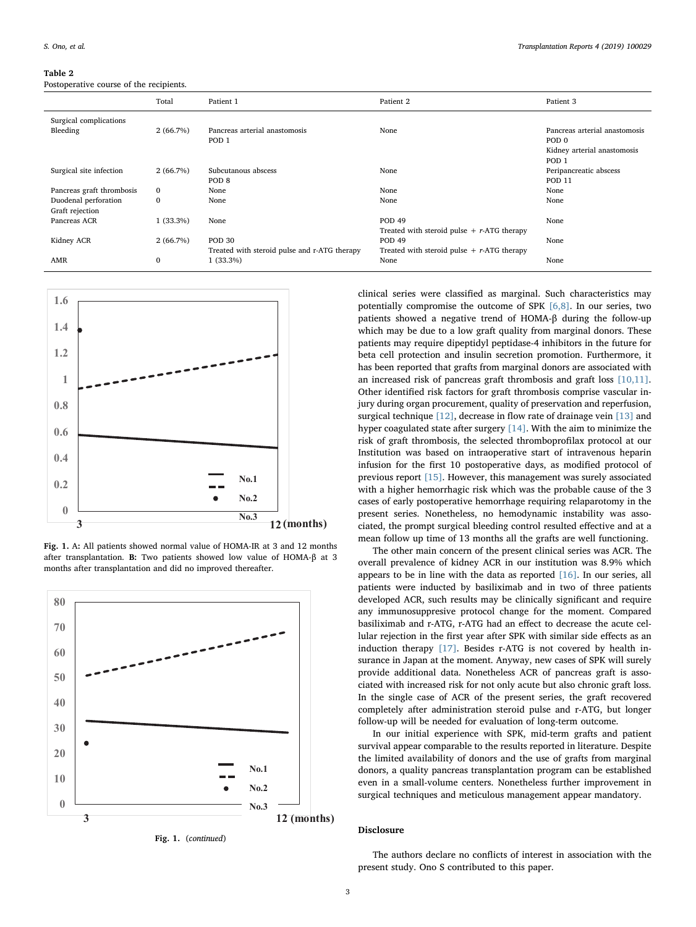#### <span id="page-2-0"></span>Table 2

Postoperative course of the recipients.

| Total        | Patient 1                                    | Patient 2                                     | Patient 3                     |
|--------------|----------------------------------------------|-----------------------------------------------|-------------------------------|
|              |                                              |                                               |                               |
| 2(66.7%)     | Pancreas arterial anastomosis                | None                                          | Pancreas arterial anastomosis |
|              | POD <sub>1</sub>                             |                                               | POD <sub>0</sub>              |
|              |                                              |                                               | Kidney arterial anastomosis   |
|              |                                              |                                               | POD <sub>1</sub>              |
| 2(66.7%)     | Subcutanous abscess                          | None                                          | Peripancreatic abscess        |
|              | POD <sub>8</sub>                             |                                               | <b>POD 11</b>                 |
| $\mathbf{0}$ | None                                         | None                                          | None                          |
| $\mathbf{0}$ | None                                         | None                                          | None                          |
|              |                                              |                                               |                               |
| $1(33.3\%)$  | None                                         | <b>POD 49</b>                                 | None                          |
|              |                                              | Treated with steroid pulse $+$ r-ATG therapy  |                               |
| 2(66.7%)     | <b>POD 30</b>                                | <b>POD 49</b>                                 | None                          |
|              | Treated with steroid pulse and r-ATG therapy | Treated with steroid pulse $+ r$ -ATG therapy |                               |
| $\mathbf{0}$ | $1(33.3\%)$                                  | None                                          | None                          |
|              |                                              |                                               |                               |

<span id="page-2-1"></span>

Fig. 1. A: All patients showed normal value of HOMA-IR at 3 and 12 months after transplantation. B: Two patients showed low value of HOMA-β at 3 months after transplantation and did no improved thereafter.



Fig. 1. (continued)

clinical series were classified as marginal. Such characteristics may potentially compromise the outcome of SPK [\[6,8\].](#page-3-5) In our series, two patients showed a negative trend of HOMA-β during the follow-up which may be due to a low graft quality from marginal donors. These patients may require dipeptidyl peptidase-4 inhibitors in the future for beta cell protection and insulin secretion promotion. Furthermore, it has been reported that grafts from marginal donors are associated with an increased risk of pancreas graft thrombosis and graft loss [\[10,11\]](#page-3-8). Other identified risk factors for graft thrombosis comprise vascular injury during organ procurement, quality of preservation and reperfusion, surgical technique [\[12\],](#page-3-9) decrease in flow rate of drainage vein [\[13\]](#page-3-10) and hyper coagulated state after surgery [\[14\]](#page-3-11). With the aim to minimize the risk of graft thrombosis, the selected thromboprofilax protocol at our Institution was based on intraoperative start of intravenous heparin infusion for the first 10 postoperative days, as modified protocol of previous report [\[15\].](#page-3-12) However, this management was surely associated with a higher hemorrhagic risk which was the probable cause of the 3 cases of early postoperative hemorrhage requiring relaparotomy in the present series. Nonetheless, no hemodynamic instability was associated, the prompt surgical bleeding control resulted effective and at a mean follow up time of 13 months all the grafts are well functioning.

The other main concern of the present clinical series was ACR. The overall prevalence of kidney ACR in our institution was 8.9% which appears to be in line with the data as reported [\[16\].](#page-3-13) In our series, all patients were inducted by basiliximab and in two of three patients developed ACR, such results may be clinically significant and require any immunosuppresive protocol change for the moment. Compared basiliximab and r-ATG, r-ATG had an effect to decrease the acute cellular rejection in the first year after SPK with similar side effects as an induction therapy [\[17\]](#page-3-14). Besides r-ATG is not covered by health insurance in Japan at the moment. Anyway, new cases of SPK will surely provide additional data. Nonetheless ACR of pancreas graft is associated with increased risk for not only acute but also chronic graft loss. In the single case of ACR of the present series, the graft recovered completely after administration steroid pulse and r-ATG, but longer follow-up will be needed for evaluation of long-term outcome.

In our initial experience with SPK, mid-term grafts and patient survival appear comparable to the results reported in literature. Despite the limited availability of donors and the use of grafts from marginal donors, a quality pancreas transplantation program can be established even in a small-volume centers. Nonetheless further improvement in surgical techniques and meticulous management appear mandatory.

# Disclosure

The authors declare no conflicts of interest in association with the present study. Ono S contributed to this paper.